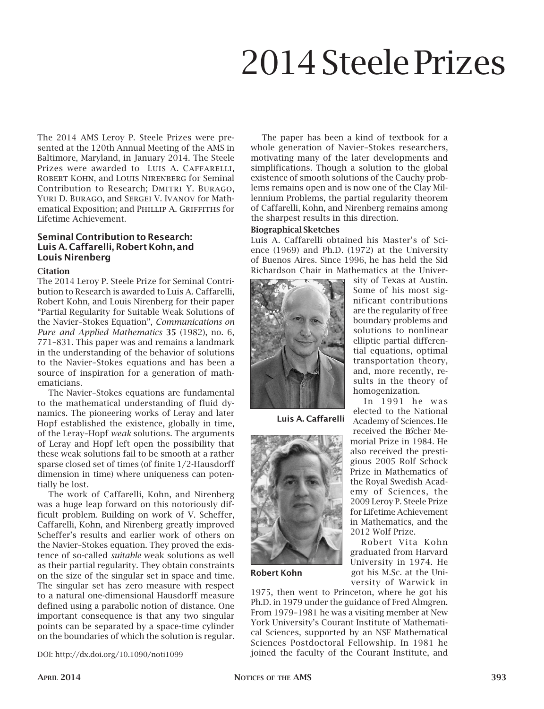# 2014 Steele Prizes

The 2014 AMS Leroy P. Steele Prizes were presented at the 120th Annual Meeting of the AMS in Baltimore, Maryland, in January 2014. The Steele Prizes were awarded to LUIS A. CAFFARELLI, Robert Kohn, and Louis Nirenberg for Seminal Contribution to Research; DMITRI Y. BURAGO, YURI D. BURAGO, and SERGEI V. IVANOV for Mathematical Exposition; and PHILLIP A. GRIFFITHS for Lifetime Achievement.

# Seminal Contribution to Research: Luis A. Caffarelli, Robert Kohn, and Louis Nirenberg

#### **Citation**

The 2014 Leroy P. Steele Prize for Seminal Contribution to Research is awarded to Luis A. Caffarelli, Robert Kohn, and Louis Nirenberg for their paper "Partial Regularity for Suitable Weak Solutions of the Navier–Stokes Equation", *Communications on Pure and Applied Mathematics* 35 (1982), no. 6, 771–831. This paper was and remains a landmark in the understanding of the behavior of solutions to the Navier–Stokes equations and has been a source of inspiration for a generation of mathematicians.

The Navier–Stokes equations are fundamental to the mathematical understanding of fluid dynamics. The pioneering works of Leray and later Hopf established the existence, globally in time, of the Leray–Hopf *weak* solutions. The arguments of Leray and Hopf left open the possibility that these weak solutions fail to be smooth at a rather sparse closed set of times (of finite 1/2-Hausdorff dimension in time) where uniqueness can potentially be lost.

The work of Caffarelli, Kohn, and Nirenberg was a huge leap forward on this notoriously difficult problem. Building on work of V. Scheffer, Caffarelli, Kohn, and Nirenberg greatly improved Scheffer's results and earlier work of others on the Navier–Stokes equation. They proved the existence of so-called *suitable* weak solutions as well as their partial regularity. They obtain constraints on the size of the singular set in space and time. The singular set has zero measure with respect to a natural one-dimensional Hausdorff measure defined using a parabolic notion of distance. One important consequence is that any two singular points can be separated by a space-time cylinder on the boundaries of which the solution is regular.

The paper has been a kind of textbook for a whole generation of Navier–Stokes researchers, motivating many of the later developments and simplifications. Though a solution to the global existence of smooth solutions of the Cauchy problems remains open and is now one of the Clay Millennium Problems, the partial regularity theorem of Caffarelli, Kohn, and Nirenberg remains among the sharpest results in this direction.

## Biographical Sketches

Luis A. Caffarelli obtained his Master's of Science (1969) and Ph.D. (1972) at the University of Buenos Aires. Since 1996, he has held the Sid Richardson Chair in Mathematics at the Univer-



Luis A. Caffarelli



Robert Kohn

sity of Texas at Austin. Some of his most significant contributions are the regularity of free boundary problems and solutions to nonlinear elliptic partial differential equations, optimal transportation theory, and, more recently, results in the theory of homogenization.

In 1991 he was elected to the National Academy of Sciences. He received the Bôcher Memorial Prize in 1984. He also received the prestigious 2005 Rolf Schock Prize in Mathematics of the Royal Swedish Academy of Sciences, the 2009 Leroy P. Steele Prize for Lifetime Achievement in Mathematics, and the 2012 Wolf Prize.

Robert Vita Kohn graduated from Harvard University in 1974. He got his M.Sc. at the University of Warwick in

1975, then went to Princeton, where he got his Ph.D. in 1979 under the guidance of Fred Almgren. From 1979–1981 he was a visiting member at New York University's Courant Institute of Mathematical Sciences, supported by an NSF Mathematical Sciences Postdoctoral Fellowship. In 1981 he DOI: http://dx.doi.org/10.1090/noti1099 joined the faculty of the Courant Institute, and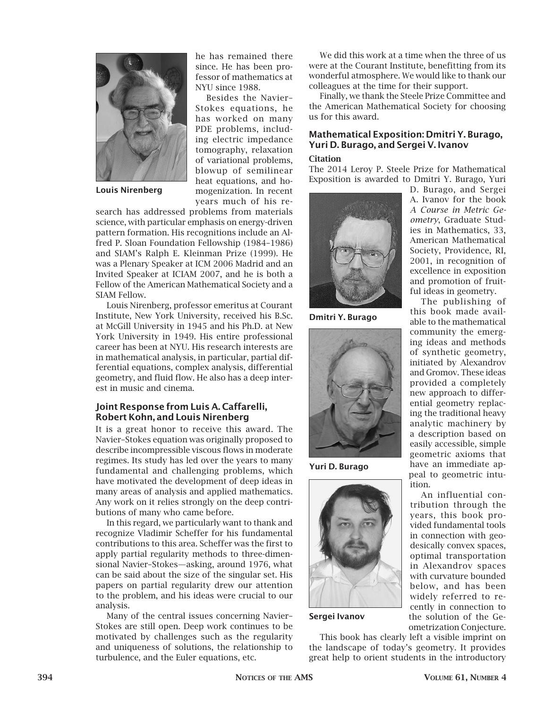

Louis Nirenberg

he has remained there since. He has been professor of mathematics at NYU since 1988.

Besides the Navier– Stokes equations, he has worked on many PDE problems, including electric impedance tomography, relaxation of variational problems, blowup of semilinear heat equations, and homogenization. In recent years much of his re-

search has addressed problems from materials science, with particular emphasis on energy-driven pattern formation. His recognitions include an Alfred P. Sloan Foundation Fellowship (1984–1986) and SIAM's Ralph E. Kleinman Prize (1999). He was a Plenary Speaker at ICM 2006 Madrid and an Invited Speaker at ICIAM 2007, and he is both a Fellow of the American Mathematical Society and a SIAM Fellow.

Louis Nirenberg, professor emeritus at Courant Institute, New York University, received his B.Sc. at McGill University in 1945 and his Ph.D. at New York University in 1949. His entire professional career has been at NYU. His research interests are in mathematical analysis, in particular, partial differential equations, complex analysis, differential geometry, and fluid flow. He also has a deep interest in music and cinema.

# Joint Response from Luis A. Caffarelli, Robert Kohn, and Louis Nirenberg

It is a great honor to receive this award. The Navier–Stokes equation was originally proposed to describe incompressible viscous flows in moderate regimes. Its study has led over the years to many fundamental and challenging problems, which have motivated the development of deep ideas in many areas of analysis and applied mathematics. Any work on it relies strongly on the deep contributions of many who came before.

In this regard, we particularly want to thank and recognize Vladimir Scheffer for his fundamental contributions to this area. Scheffer was the first to apply partial regularity methods to three-dimensional Navier–Stokes—asking, around 1976, what can be said about the size of the singular set. His papers on partial regularity drew our attention to the problem, and his ideas were crucial to our analysis.

Many of the central issues concerning Navier– Stokes are still open. Deep work continues to be motivated by challenges such as the regularity and uniqueness of solutions, the relationship to turbulence, and the Euler equations, etc.

We did this work at a time when the three of us were at the Courant Institute, benefitting from its wonderful atmosphere. We would like to thank our colleagues at the time for their support.

Finally, we thank the Steele Prize Committee and the American Mathematical Society for choosing us for this award.

# Mathematical Exposition: Dmitri Y. Burago, Yuri D. Burago, and Sergei V. Ivanov

# **Citation**

The 2014 Leroy P. Steele Prize for Mathematical Exposition is awarded to Dmitri Y. Burago, Yuri



Dmitri Y. Burago



Yuri D. Burago



Sergei Ivanov

This book has clearly left a visible imprint on the landscape of today's geometry. It provides great help to orient students in the introductory

D. Burago, and Sergei A. Ivanov for the book *A Course in Metric Geometry*, Graduate Studies in Mathematics, 33, American Mathematical Society, Providence, RI, 2001, in recognition of excellence in exposition and promotion of fruitful ideas in geometry.

The publishing of this book made available to the mathematical community the emerging ideas and methods of synthetic geometry, initiated by Alexandrov and Gromov. These ideas provided a completely new approach to differential geometry replacing the traditional heavy analytic machinery by a description based on easily accessible, simple geometric axioms that have an immediate appeal to geometric intuition.

An influential contribution through the years, this book provided fundamental tools in connection with geodesically convex spaces, optimal transportation in Alexandrov spaces with curvature bounded below, and has been widely referred to recently in connection to the solution of the Geometrization Conjecture.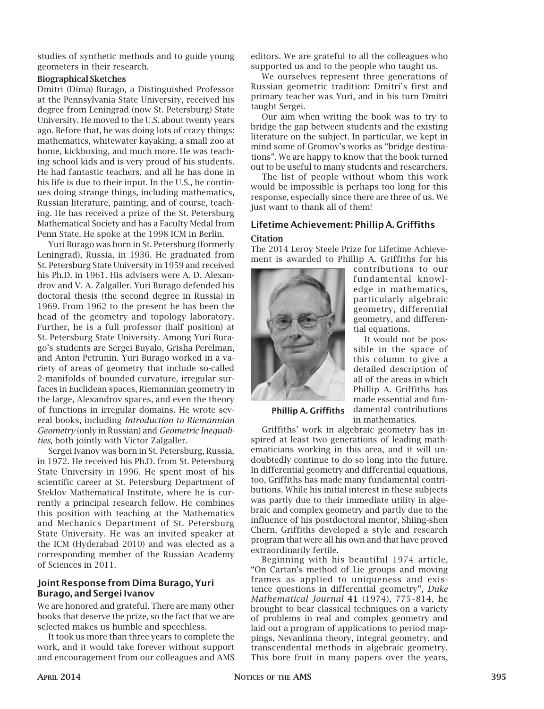studies of synthetic methods and to guide young geometers in their research.

## Biographical Sketches

Dmitri (Dima) Burago, a Distinguished Professor at the Pennsylvania State University, received his degree from Leningrad (now St. Petersburg) State University. He moved to the U.S. about twenty years ago. Before that, he was doing lots of crazy things: mathematics, whitewater kayaking, a small zoo at home, kickboxing, and much more. He was teaching school kids and is very proud of his students. He had fantastic teachers, and all he has done in his life is due to their input. In the U.S., he continues doing strange things, including mathematics, Russian literature, painting, and of course, teaching. He has received a prize of the St. Petersburg Mathematical Society and has a Faculty Medal from Penn State. He spoke at the 1998 ICM in Berlin.

Yuri Burago was born in St. Petersburg (formerly Leningrad), Russia, in 1936. He graduated from St. Petersburg State University in 1959 and received his Ph.D. in 1961. His advisers were A. D. Alexandrov and V. A. Zalgaller. Yuri Burago defended his doctoral thesis (the second degree in Russia) in 1969. From 1962 to the present he has been the head of the geometry and topology laboratory. Further, he is a full professor (half position) at St. Petersburg State University. Among Yuri Burago's students are Sergei Buyalo, Grisha Perelman, and Anton Petrunin. Yuri Burago worked in a variety of areas of geometry that include so-called 2-manifolds of bounded curvature, irregular surfaces in Euclidean spaces, Riemannian geometry in the large, Alexandrov spaces, and even the theory of functions in irregular domains. He wrote several books, including *Introduction to Riemannian Geometry* (only in Russian) and *Geometric Inequalities*, both jointly with Victor Zalgaller.

Sergei Ivanov was born in St. Petersburg, Russia, in 1972. He received his Ph.D. from St. Petersburg State University in 1996. He spent most of his scientific career at St. Petersburg Department of Steklov Mathematical Institute, where he is currently a principal research fellow. He combines this position with teaching at the Mathematics and Mechanics Department of St. Petersburg State University. He was an invited speaker at the ICM (Hyderabad 2010) and was elected as a corresponding member of the Russian Academy of Sciences in 2011.

# Joint Response from Dima Burago, Yuri Burago, and Sergei Ivanov

We are honored and grateful. There are many other books that deserve the prize, so the fact that we are selected makes us humble and speechless.

It took us more than three years to complete the work, and it would take forever without support and encouragement from our colleagues and AMS editors. We are grateful to all the colleagues who supported us and to the people who taught us.

We ourselves represent three generations of Russian geometric tradition: Dmitri's first and primary teacher was Yuri, and in his turn Dmitri taught Sergei.

Our aim when writing the book was to try to bridge the gap between students and the existing literature on the subject. In particular, we kept in mind some of Gromov's works as "bridge destinations". We are happy to know that the book turned out to be useful to many students and researchers.

The list of people without whom this work would be impossible is perhaps too long for this response, especially since there are three of us. We just want to thank all of them!

# Lifetime Achievement: Phillip A. Griffiths Citation

The 2014 Leroy Steele Prize for Lifetime Achievement is awarded to Phillip A. Griffiths for his



contributions to our fundamental knowledge in mathematics, particularly algebraic geometry, differential geometry, and differential equations.

It would not be possible in the space of this column to give a detailed description of all of the areas in which Phillip A. Griffiths has made essential and fundamental contributions

Phillip A. Griffiths

in mathematics.

Griffiths' work in algebraic geometry has inspired at least two generations of leading mathematicians working in this area, and it will undoubtedly continue to do so long into the future. In differential geometry and differential equations, too, Griffiths has made many fundamental contributions. While his initial interest in these subjects was partly due to their immediate utility in algebraic and complex geometry and partly due to the influence of his postdoctoral mentor, Shiing-shen Chern, Griffiths developed a style and research program that were all his own and that have proved extraordinarily fertile.

Beginning with his beautiful 1974 article, "On Cartan's method of Lie groups and moving frames as applied to uniqueness and existence questions in differential geometry", *Duke Mathematical Journal* 41 (1974), 775–814, he brought to bear classical techniques on a variety of problems in real and complex geometry and laid out a program of applications to period mappings, Nevanlinna theory, integral geometry, and transcendental methods in algebraic geometry. This bore fruit in many papers over the years,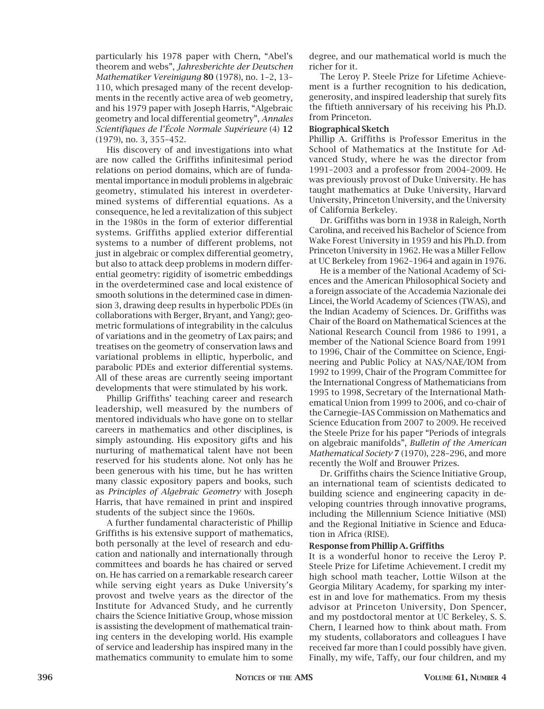particularly his 1978 paper with Chern, "Abel's theorem and webs", *Jahresberichte der Deutschen Mathematiker Vereinigung* 80 (1978), no. 1–2, 13– 110, which presaged many of the recent developments in the recently active area of web geometry, and his 1979 paper with Joseph Harris, "Algebraic geometry and local differential geometry", *Annales Scientifiques de l'École Normale Supérieure* (4) 12 (1979), no. 3, 355–452.

His discovery of and investigations into what are now called the Griffiths infinitesimal period relations on period domains, which are of fundamental importance in moduli problems in algebraic geometry, stimulated his interest in overdetermined systems of differential equations. As a consequence, he led a revitalization of this subject in the 1980s in the form of exterior differential systems. Griffiths applied exterior differential systems to a number of different problems, not just in algebraic or complex differential geometry, but also to attack deep problems in modern differential geometry: rigidity of isometric embeddings in the overdetermined case and local existence of smooth solutions in the determined case in dimension 3, drawing deep results in hyperbolic PDEs (in collaborations with Berger, Bryant, and Yang); geometric formulations of integrability in the calculus of variations and in the geometry of Lax pairs; and treatises on the geometry of conservation laws and variational problems in elliptic, hyperbolic, and parabolic PDEs and exterior differential systems. All of these areas are currently seeing important developments that were stimulated by his work.

Phillip Griffiths' teaching career and research leadership, well measured by the numbers of mentored individuals who have gone on to stellar careers in mathematics and other disciplines, is simply astounding. His expository gifts and his nurturing of mathematical talent have not been reserved for his students alone. Not only has he been generous with his time, but he has written many classic expository papers and books, such as *Principles of Algebraic Geometry* with Joseph Harris, that have remained in print and inspired students of the subject since the 1960s.

A further fundamental characteristic of Phillip Griffiths is his extensive support of mathematics, both personally at the level of research and education and nationally and internationally through committees and boards he has chaired or served on. He has carried on a remarkable research career while serving eight years as Duke University's provost and twelve years as the director of the Institute for Advanced Study, and he currently chairs the Science Initiative Group, whose mission is assisting the development of mathematical training centers in the developing world. His example of service and leadership has inspired many in the mathematics community to emulate him to some

degree, and our mathematical world is much the richer for it.

The Leroy P. Steele Prize for Lifetime Achievement is a further recognition to his dedication, generosity, and inspired leadership that surely fits the fiftieth anniversary of his receiving his Ph.D. from Princeton.

#### Biographical Sketch

Phillip A. Griffiths is Professor Emeritus in the School of Mathematics at the Institute for Advanced Study, where he was the director from 1991–2003 and a professor from 2004–2009. He was previously provost of Duke University. He has taught mathematics at Duke University, Harvard University, Princeton University, and the University of California Berkeley.

Dr. Griffiths was born in 1938 in Raleigh, North Carolina, and received his Bachelor of Science from Wake Forest University in 1959 and his Ph.D. from Princeton University in 1962. He was a Miller Fellow at UC Berkeley from 1962–1964 and again in 1976.

He is a member of the National Academy of Sciences and the American Philosophical Society and a foreign associate of the Accademia Nazionale dei Lincei, the World Academy of Sciences (TWAS), and the Indian Academy of Sciences. Dr. Griffiths was Chair of the Board on Mathematical Sciences at the National Research Council from 1986 to 1991, a member of the National Science Board from 1991 to 1996, Chair of the Committee on Science, Engineering and Public Policy at NAS/NAE/IOM from 1992 to 1999, Chair of the Program Committee for the International Congress of Mathematicians from 1995 to 1998, Secretary of the International Mathematical Union from 1999 to 2006, and co-chair of the Carnegie–IAS Commission on Mathematics and Science Education from 2007 to 2009. He received the Steele Prize for his paper "Periods of integrals on algebraic manifolds", *Bulletin of the American Mathematical Society* 7 (1970), 228–296, and more recently the Wolf and Brouwer Prizes.

Dr. Griffiths chairs the Science Initiative Group, an international team of scientists dedicated to building science and engineering capacity in developing countries through innovative programs, including the Millennium Science Initiative (MSI) and the Regional Initiative in Science and Education in Africa (RISE).

#### Response from Phillip A. Griffiths

It is a wonderful honor to receive the Leroy P. Steele Prize for Lifetime Achievement. I credit my high school math teacher, Lottie Wilson at the Georgia Military Academy, for sparking my interest in and love for mathematics. From my thesis advisor at Princeton University, Don Spencer, and my postdoctoral mentor at UC Berkeley, S. S. Chern, I learned how to think about math. From my students, collaborators and colleagues I have received far more than I could possibly have given. Finally, my wife, Taffy, our four children, and my